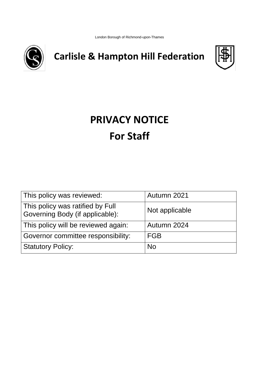London Borough of Richmond-upon-Thames



**Carlisle & Hampton Hill Federation**



# **PRIVACY NOTICE For Staff**

| This policy was reviewed:                                           | Autumn 2021    |
|---------------------------------------------------------------------|----------------|
| This policy was ratified by Full<br>Governing Body (if applicable): | Not applicable |
| This policy will be reviewed again:                                 | Autumn 2024    |
| Governor committee responsibility:                                  | <b>FGB</b>     |
| <b>Statutory Policy:</b>                                            | <b>No</b>      |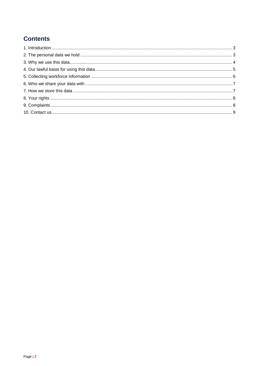# **Contents**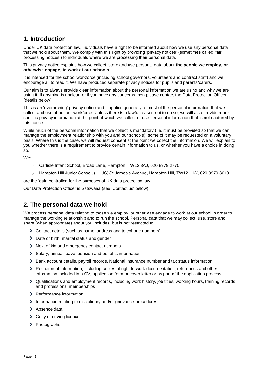# <span id="page-2-0"></span>**1. Introduction**

Under UK data protection law, individuals have a right to be informed about how we use any personal data that we hold about them. We comply with this right by providing 'privacy notices' (sometimes called 'fair processing notices') to individuals where we are processing their personal data.

This privacy notice explains how we collect, store and use personal data about **the people we employ, or otherwise engage, to work at our schools.**

It is intended for the school workforce (including school governors, volunteers and contract staff) and we encourage all to read it. We have produced separate privacy notices for pupils and parents/carers.

Our aim is to always provide clear information about the personal information we are using and why we are using it. If anything is unclear, or if you have any concerns then please contact the Data Protection Officer (details below).

This is an 'overarching' privacy notice and it applies generally to most of the personal information that we collect and use about our workforce. Unless there is a lawful reason not to do so, we will also provide more specific privacy information at the point at which we collect or use personal information that is not captured by this notice.

While much of the personal information that we collect is mandatory (i.e. it must be provided so that we can manage the employment relationship with you and our schools), some of it may be requested on a voluntary basis. Where this is the case, we will request consent at the point we collect the information. We will explain to you whether there is a requirement to provide certain information to us, or whether you have a choice in doing so.

We;

- o Carlisle Infant School, Broad Lane, Hampton, TW12 3AJ, 020 8979 2770
- o Hampton Hill Junior School, (HHJS) St James's Avenue, Hampton Hill, TW12 !HW, 020 8979 3019

are the 'data controller' for the purposes of UK data protection law.

Our Data Protection Officer is Satswana (see 'Contact us' below).

# <span id="page-2-1"></span>**2. The personal data we hold**

We process personal data relating to those we employ, or otherwise engage to work at our school in order to manage the working relationship and to run the school. Personal data that we may collect, use, store and share (when appropriate) about you includes, but is not restricted to:

- Contact details (such as name, address and telephone numbers)
- > Date of birth, marital status and gender
- Next of kin and emergency contact numbers
- Salary, annual leave, pension and benefits information
- > Bank account details, payroll records, National Insurance number and tax status information
- Recruitment information, including copies of right to work documentation, references and other information included in a CV, application form or cover letter or as part of the application process
- Qualifications and employment records, including work history, job titles, working hours, training records and professional memberships
- > Performance information
- > Information relating to disciplinary and/or grievance procedures
- > Absence data
- $\blacktriangleright$ Copy of driving licence
- > Photographs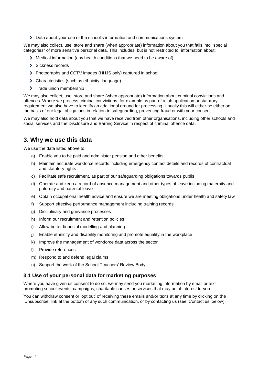Data about your use of the school's information and communications system

We may also collect, use, store and share (when appropriate) information about you that falls into "special categories" of more sensitive personal data. This includes, but is not restricted to, information about:

- Medical information (any health conditions that we need to be aware of)
- > Sickness records
- Photographs and CCTV images (HHJS only) captured in school.
- Characteristics (such as ethnicity, language)
- > Trade union membership

We may also collect, use, store and share (when appropriate) information about criminal convictions and offences. Where we process criminal convictions, for example as part of a job application or statutory requirement we also have to identify an additional ground for processing. Usually this will either be either on the basis of our legal obligations in relation to safeguarding, preventing fraud or with your consent.

We may also hold data about you that we have received from other organisations, including other schools and social services and the Disclosure and Barring Service in respect of criminal offence data.

## <span id="page-3-0"></span>**3. Why we use this data**

We use the data listed above to:

- a) Enable you to be paid and administer pension and other benefits
- b) Maintain accurate workforce records including emergency contact details and records of contractual and statutory rights
- c) Facilitate safe recruitment, as part of our safeguarding obligations towards pupils
- d) Operate and keep a record of absence management and other types of leave including maternity and paternity and parental leave
- e) Obtain occupational health advice and ensure we are meeting obligations under health and safety law
- f) Support effective performance management including training records
- g) Disciplinary and grievance processes
- h) Inform our recruitment and retention policies
- i) Allow better financial modelling and planning
- j) Enable ethnicity and disability monitoring and promote equality in the workplace
- k) Improve the management of workforce data across the sector
- l) Provide references
- m) Respond to and defend legal claims
- n) Support the work of the School Teachers' Review Body

#### **3.1 Use of your personal data for marketing purposes**

Where you have given us consent to do so, we may send you marketing information by email or text promoting school events, campaigns, charitable causes or services that may be of interest to you.

You can withdraw consent or 'opt out' of receiving these emails and/or texts at any time by clicking on the 'Unsubscribe' link at the bottom of any such communication, or by contacting us (see 'Contact us' below).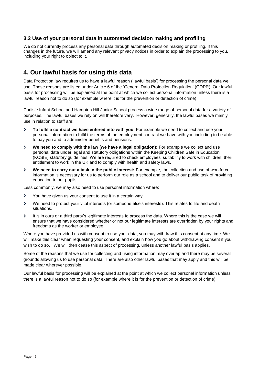#### **3.2 Use of your personal data in automated decision making and profiling**

We do not currently process any personal data through automated decision making or profiling. If this changes in the future, we will amend any relevant privacy notices in order to explain the processing to you, including your right to object to it.

## <span id="page-4-0"></span>**4. Our lawful basis for using this data**

Data Protection law requires us to have a lawful reason ('lawful basis') for processing the personal data we use. These reasons are listed under Article 6 of the 'General Data Protection Regulation' (GDPR). Our lawful basis for processing will be explained at the point at which we collect personal information unless there is a lawful reason not to do so (for example where it is for the prevention or detection of crime).

Carlisle Infant School and Hampton Hill Junior School process a wide range of personal data for a variety of purposes. The lawful bases we rely on will therefore vary. However, generally, the lawful bases we mainly use in relation to staff are:

- $\blacktriangleright$ **To fulfil a contract we have entered into with you**: For example we need to collect and use your personal information to fulfil the terms of the employment contract we have with you including to be able to pay you and to administer benefits and pensions.
- $\mathbf{\Sigma}$ **We need to comply with the law (we have a legal obligation):** For example we collect and use personal data under legal and statutory obligations within the Keeping Children Safe in Education (KCSIE) statutory guidelines. We are required to check employees' suitability to work with children, their entitlement to work in the UK and to comply with health and safety laws.
- **We need to carry out a task in the public interest:** For example, the collection and use of workforce  $\blacktriangleright$ information is necessary for us to perform our role as a school and to deliver our public task of providing education to our pupils.

Less commonly, we may also need to use personal information where:

- $\mathbf{\lambda}$ You have given us your consent to use it in a certain way
- $\overline{\phantom{0}}$ We need to protect your vital interests (or someone else's interests). This relates to life and death situations.
- $\mathbf{\Sigma}$ It is in ours or a third party's legitimate interests to process the data. Where this is the case we will ensure that we have considered whether or not our legitimate interests are overridden by your rights and freedoms as the worker or employee.

Where you have provided us with consent to use your data, you may withdraw this consent at any time. We will make this clear when requesting your consent, and explain how you go about withdrawing consent if you wish to do so. We will then cease this aspect of processing, unless another lawful basis applies.

Some of the reasons that we use for collecting and using information may overlap and there may be several grounds allowing us to use personal data. There are also other lawful bases that may apply and this will be made clear wherever possible.

Our lawful basis for processing will be explained at the point at which we collect personal information unless there is a lawful reason not to do so (for example where it is for the prevention or detection of crime).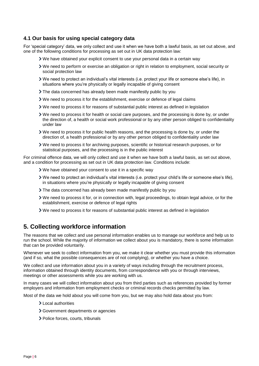### **4.1 Our basis for using special category data**

For 'special category' data, we only collect and use it when we have both a lawful basis, as set out above, and one of the following conditions for processing as set out in UK data protection law:

- We have obtained your explicit consent to use your personal data in a certain way
- We need to perform or exercise an obligation or right in relation to employment, social security or social protection law
- We need to protect an individual's vital interests (i.e. protect your life or someone else's life), in situations where you're physically or legally incapable of giving consent
- The data concerned has already been made manifestly public by you
- We need to process it for the establishment, exercise or defence of legal claims
- We need to process it for reasons of substantial public interest as defined in legislation
- We need to process it for health or social care purposes, and the processing is done by, or under the direction of, a health or social work professional or by any other person obliged to confidentiality under law
- We need to process it for public health reasons, and the processing is done by, or under the direction of, a health professional or by any other person obliged to confidentiality under law
- We need to process it for archiving purposes, scientific or historical research purposes, or for statistical purposes, and the processing is in the public interest

For criminal offence data, we will only collect and use it when we have both a lawful basis, as set out above, and a condition for processing as set out in UK data protection law. Conditions include:

- We have obtained your consent to use it in a specific way
- We need to protect an individual's vital interests (i.e. protect your child's life or someone else's life), in situations where you're physically or legally incapable of giving consent
- The data concerned has already been made manifestly public by you
- We need to process it for, or in connection with, legal proceedings, to obtain legal advice, or for the establishment, exercise or defence of legal rights
- We need to process it for reasons of substantial public interest as defined in legislation

## <span id="page-5-0"></span>**5. Collecting workforce information**

The reasons that we collect and use personal information enables us to manage our workforce and help us to run the school. While the majority of information we collect about you is mandatory, there is some information that can be provided voluntarily.

Whenever we seek to collect information from you, we make it clear whether you must provide this information (and if so, what the possible consequences are of not complying), or whether you have a choice.

We collect and use information about you in a variety of ways including through the recruitment process, information obtained through identity documents, from correspondence with you or through interviews, meetings or other assessments while you are working with us.

In many cases we will collect information about you from third parties such as references provided by former employers and information from employment checks or criminal records checks permitted by law.

Most of the data we hold about you will come from you, but we may also hold data about you from:

- Local authorities
- Government departments or agencies
- > Police forces, courts, tribunals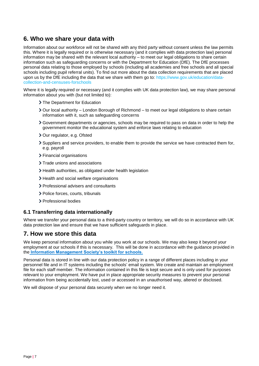## <span id="page-6-0"></span>**6. Who we share your data with**

Information about our workforce will not be shared with any third party without consent unless the law permits this. Where it is legally required or is otherwise necessary (and it complies with data protection law) personal information may be shared with the relevant local authority – to meet our legal obligations to share certain information such as safeguarding concerns or with the Department for Education (DfE). The DfE processes personal data relating to those employed by schools (including all academies and free schools and all special schools including pupil referral units). To find out more about the data collection requirements that are placed upon us by the DfE including the data that we share with them go to: [https://www.gov.uk/education/data](https://www.gov.uk/education/data-collection-and-censuses-forschools)[collection-and-censuses-forschools](https://www.gov.uk/education/data-collection-and-censuses-forschools)

Where it is legally required or necessary (and it complies with UK data protection law), we may share personal information about you with (but not limited to):

- > The Department for Education
- $\geq$  Our local authority London Borough of Richmond to meet our legal obligations to share certain information with it, such as safeguarding concerns
- Government departments or agencies, schools may be required to pass on data in order to help the government monitor the educational system and enforce laws relating to education
- > Our regulator, e.g. Ofsted
- Suppliers and service providers, to enable them to provide the service we have contracted them for, e.g. payroll
- Financial organisations
- > Trade unions and associations
- Health authorities, as obligated under health legislation
- > Health and social welfare organisations
- > Professional advisers and consultants
- > Police forces, courts, tribunals
- > Professional bodies

#### **6.1 Transferring data internationally**

Where we transfer your personal data to a third-party country or territory, we will do so in accordance with UK data protection law and ensure that we have sufficient safeguards in place.

## <span id="page-6-1"></span>**7. How we store this data**

We keep personal information about you while you work at our schools. We may also keep it beyond your employment at our schools if this is necessary. This will be done in accordance with the guidance provided in the **[Information Management Society's toolkit for schools.](https://irms.org.uk/page/schoolstoolkit?&terms=%22toolkit+and+schools%22)**

Personal data is stored in line with our data protection policy in a range of different places including in your personnel file and in IT systems including the schools' email system. We create and maintain an employment file for each staff member. The information contained in this file is kept secure and is only used for purposes relevant to your employment. We have put in place appropriate security measures to prevent your personal information from being accidentally lost, used or accessed in an unauthorised way, altered or disclosed.

We will dispose of your personal data securely when we no longer need it.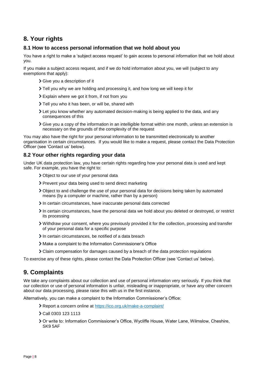# <span id="page-7-0"></span>**8. Your rights**

### **8.1 How to access personal information that we hold about you**

You have a right to make a 'subject access request' to gain access to personal information that we hold about you.

If you make a subject access request, and if we do hold information about you, we will (subject to any exemptions that apply):

- Give you a description of it
- Tell you why we are holding and processing it, and how long we will keep it for
- Explain where we got it from, if not from you
- Tell you who it has been, or will be, shared with
- Let you know whether any automated decision-making is being applied to the data, and any consequences of this
- Give you a copy of the information in an intelligible format within one month, unless an extension is necessary on the grounds of the complexity of the request

You may also have the right for your personal information to be transmitted electronically to another organisation in certain circumstances. If you would like to make a request, please contact the Data Protection Officer (see 'Contact us' below).

#### **8.2 Your other rights regarding your data**

Under UK data protection law, you have certain rights regarding how your personal data is used and kept safe. For example, you have the right to:

- Object to our use of your personal data
- > Prevent your data being used to send direct marketing
- Object to and challenge the use of your personal data for decisions being taken by automated means (by a computer or machine, rather than by a person)
- In certain circumstances, have inaccurate personal data corrected
- In certain circumstances, have the personal data we hold about you deleted or destroyed, or restrict its processing
- Withdraw your consent, where you previously provided it for the collection, processing and transfer of your personal data for a specific purpose
- In certain circumstances, be notified of a data breach
- Make a complaint to the Information Commissioner's Office
- Claim compensation for damages caused by a breach of the data protection regulations

To exercise any of these rights, please contact the Data Protection Officer (see 'Contact us' below).

# <span id="page-7-1"></span>**9. Complaints**

We take any complaints about our collection and use of personal information very seriously. If you think that our collection or use of personal information is unfair, misleading or inappropriate, or have any other concern about our data processing, please raise this with us in the first instance.

Alternatively, you can make a complaint to the Information Commissioner's Office:

- Report a concern online at<https://ico.org.uk/make-a-complaint/>
- Call 0303 123 1113
- Or write to: Information Commissioner's Office, Wycliffe House, Water Lane, Wilmslow, Cheshire, SK9 5AF